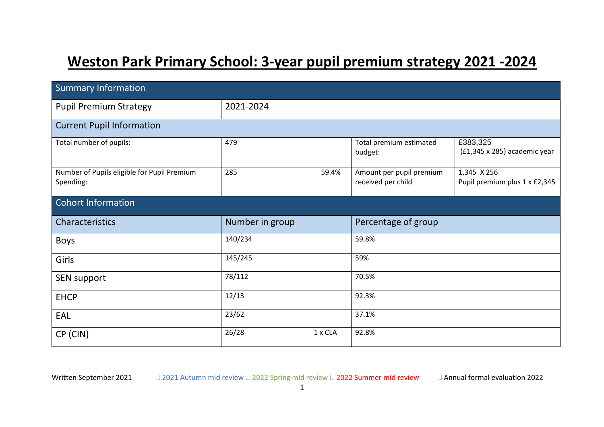# **Weston Park Primary School: 3-year pupil premium strategy 2021 -2024**

| <b>Summary Information</b>                               |                 |         |                                                |                                              |  |  |  |  |  |  |
|----------------------------------------------------------|-----------------|---------|------------------------------------------------|----------------------------------------------|--|--|--|--|--|--|
| <b>Pupil Premium Strategy</b>                            | 2021-2024       |         |                                                |                                              |  |  |  |  |  |  |
| <b>Current Pupil Information</b>                         |                 |         |                                                |                                              |  |  |  |  |  |  |
| Total number of pupils:                                  | 479             |         | Total premium estimated<br>budget:             | £383,325<br>(£1,345 x 285) academic year     |  |  |  |  |  |  |
| Number of Pupils eligible for Pupil Premium<br>Spending: | 285             | 59.4%   | Amount per pupil premium<br>received per child | 1,345 X 256<br>Pupil premium plus 1 x £2,345 |  |  |  |  |  |  |
| <b>Cohort Information</b>                                |                 |         |                                                |                                              |  |  |  |  |  |  |
| Characteristics                                          | Number in group |         | Percentage of group                            |                                              |  |  |  |  |  |  |
| Boys                                                     | 140/234         |         | 59.8%                                          |                                              |  |  |  |  |  |  |
| Girls                                                    | 145/245         |         | 59%                                            |                                              |  |  |  |  |  |  |
| SEN support                                              | 78/112          |         | 70.5%                                          |                                              |  |  |  |  |  |  |
| <b>EHCP</b>                                              | 12/13           |         | 92.3%                                          |                                              |  |  |  |  |  |  |
| EAL                                                      | 23/62           |         | 37.1%                                          |                                              |  |  |  |  |  |  |
| CP (CIN)                                                 | 26/28           | 1 x CLA | 92.8%                                          |                                              |  |  |  |  |  |  |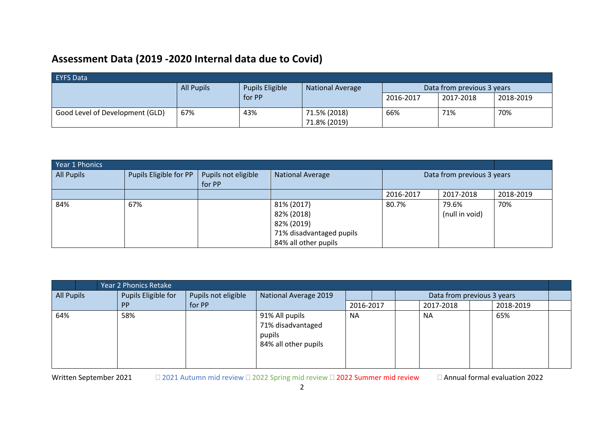## **Assessment Data (2019 -2020 Internal data due to Covid)**

| <b>EYFS Data</b>                |                                                                        |        |              |           |                            |           |  |  |  |  |  |
|---------------------------------|------------------------------------------------------------------------|--------|--------------|-----------|----------------------------|-----------|--|--|--|--|--|
|                                 | <b>Pupils Eligible</b><br><b>All Pupils</b><br><b>National Average</b> |        |              |           | Data from previous 3 years |           |  |  |  |  |  |
|                                 |                                                                        | for PP |              | 2016-2017 | 2017-2018                  | 2018-2019 |  |  |  |  |  |
| Good Level of Development (GLD) | 67%                                                                    | 43%    | 71.5% (2018) | 66%       | 71%                        | 70%       |  |  |  |  |  |
|                                 |                                                                        |        | 71.8% (2019) |           |                            |           |  |  |  |  |  |

| Year 1 Phonics    |                        |                     |                          |                |                            |           |  |  |  |
|-------------------|------------------------|---------------------|--------------------------|----------------|----------------------------|-----------|--|--|--|
| <b>All Pupils</b> | Pupils Eligible for PP | Pupils not eligible | <b>National Average</b>  |                | Data from previous 3 years |           |  |  |  |
|                   |                        | for PP              |                          |                |                            |           |  |  |  |
|                   |                        |                     |                          | 2016-2017      | 2017-2018                  | 2018-2019 |  |  |  |
| 84%               | 67%                    |                     | 81% (2017)               | 80.7%          | 79.6%                      | 70%       |  |  |  |
|                   |                        |                     | 82% (2018)               | (null in void) |                            |           |  |  |  |
|                   |                        |                     | 82% (2019)               |                |                            |           |  |  |  |
|                   |                        |                     | 71% disadvantaged pupils |                |                            |           |  |  |  |
|                   |                        |                     | 84% all other pupils     |                |                            |           |  |  |  |

| Year 2 Phonics Retake |                     |                     |                                                                       |           |  |                            |           |  |           |  |  |
|-----------------------|---------------------|---------------------|-----------------------------------------------------------------------|-----------|--|----------------------------|-----------|--|-----------|--|--|
| <b>All Pupils</b>     | Pupils Eligible for | Pupils not eligible | National Average 2019                                                 | 2016-2017 |  | Data from previous 3 years |           |  |           |  |  |
|                       | <b>PP</b>           | for PP              |                                                                       |           |  |                            | 2017-2018 |  | 2018-2019 |  |  |
| 64%                   | 58%                 |                     | 91% All pupils<br>71% disadvantaged<br>pupils<br>84% all other pupils | <b>NA</b> |  |                            | <b>NA</b> |  | 65%       |  |  |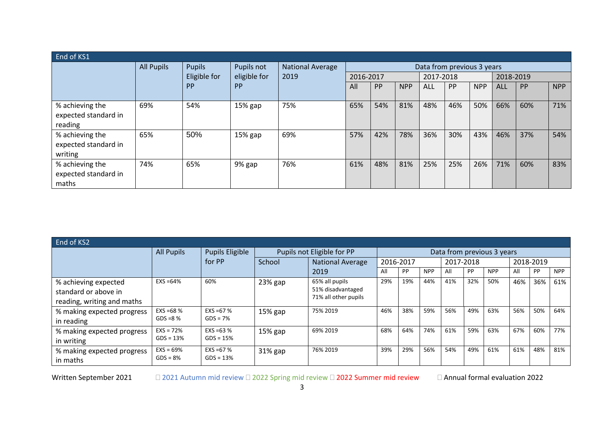| End of KS1                                         |                   |               |              |                  |                            |           |            |            |     |            |            |     |     |
|----------------------------------------------------|-------------------|---------------|--------------|------------------|----------------------------|-----------|------------|------------|-----|------------|------------|-----|-----|
|                                                    | <b>All Pupils</b> | <b>Pupils</b> | Pupils not   | National Average | Data from previous 3 years |           |            |            |     |            |            |     |     |
|                                                    |                   | Eligible for  | eligible for | 2019             | 2016-2017                  |           | 2017-2018  |            |     | 2018-2019  |            |     |     |
|                                                    |                   | <b>PP</b>     | <b>PP</b>    |                  | All                        | <b>PP</b> | <b>NPP</b> | <b>ALL</b> | PP  | <b>NPP</b> | <b>ALL</b> | PP  | NPP |
| % achieving the<br>expected standard in<br>reading | 69%               | 54%           | 15% gap      | 75%              | 65%                        | 54%       | 81%        | 48%        | 46% | 50%        | 66%        | 60% | 71% |
| % achieving the<br>expected standard in<br>writing | 65%               | 50%           | 15% gap      | 69%              | 57%                        | 42%       | 78%        | 36%        | 30% | 43%        | 46%        | 37% | 54% |
| % achieving the<br>expected standard in<br>maths   | 74%               | 65%           | 9% gap       | 76%              | 61%                        | 48%       | 81%        | 25%        | 25% | 26%        | 71%        | 60% | 83% |

| End of KS2                                                                 |                            |                             |                            |                                                             |                            |           |            |     |           |            |     |           |            |  |
|----------------------------------------------------------------------------|----------------------------|-----------------------------|----------------------------|-------------------------------------------------------------|----------------------------|-----------|------------|-----|-----------|------------|-----|-----------|------------|--|
|                                                                            | <b>All Pupils</b>          | Pupils Eligible             | Pupils not Eligible for PP |                                                             | Data from previous 3 years |           |            |     |           |            |     |           |            |  |
|                                                                            |                            | for PP                      | School                     | National Average                                            |                            | 2016-2017 |            |     | 2017-2018 |            |     | 2018-2019 |            |  |
|                                                                            |                            |                             |                            | 2019                                                        | All                        | PP        | <b>NPP</b> | All | PP        | <b>NPP</b> | All | PP        | <b>NPP</b> |  |
| % achieving expected<br>standard or above in<br>reading, writing and maths | $EXS = 64%$                | 60%                         | $23%$ gap                  | 65% all pupils<br>51% disadvantaged<br>71% all other pupils | 29%                        | 19%       | 44%        | 41% | 32%       | 50%        | 46% | 36%       | 61%        |  |
| % making expected progress<br>in reading                                   | $EXS = 68%$<br>$GDS = 8%$  | $EXS = 67 \%$<br>$GDS = 7%$ | $15%$ gap                  | 75% 2019                                                    | 46%                        | 38%       | 59%        | 56% | 49%       | 63%        | 56% | 50%       | 64%        |  |
| % making expected progress<br>in writing                                   | $EXS = 72%$<br>$GDS = 13%$ | $EXS = 63%$<br>$GDS = 15%$  | $15%$ gap                  | 69% 2019                                                    | 68%                        | 64%       | 74%        | 61% | 59%       | 63%        | 67% | 60%       | 77%        |  |
| % making expected progress<br>in maths                                     | $EXS = 69%$<br>$GDS = 8%$  | $EXS = 67%$<br>$GDS = 13%$  | $31\%$ gap                 | 76% 2019                                                    | 39%                        | 29%       | 56%        | 54% | 49%       | 61%        | 61% | 48%       | 81%        |  |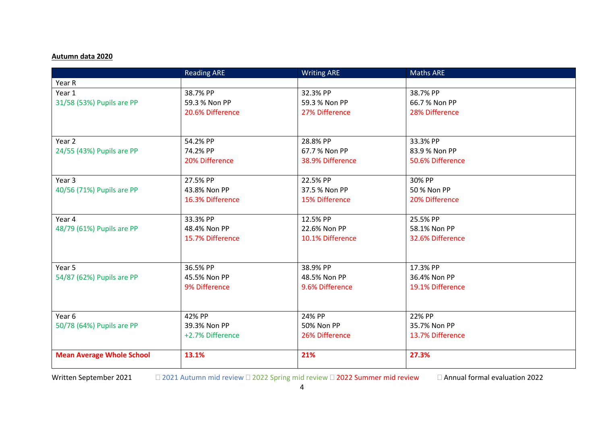### **Autumn data 2020**

|                                  | <b>Reading ARE</b> | <b>Writing ARE</b> | <b>Maths ARE</b> |  |
|----------------------------------|--------------------|--------------------|------------------|--|
| Year R                           |                    |                    |                  |  |
| Year 1                           | 38.7% PP           | 32.3% PP           | 38.7% PP         |  |
| 31/58 (53%) Pupils are PP        | 59.3 % Non PP      | 59.3 % Non PP      | 66.7 % Non PP    |  |
|                                  | 20.6% Difference   | 27% Difference     | 28% Difference   |  |
|                                  |                    |                    |                  |  |
|                                  |                    |                    |                  |  |
| Year 2                           | 54.2% PP           | 28.8% PP           | 33.3% PP         |  |
| 24/55 (43%) Pupils are PP        | 74.2% PP           | 67.7% Non PP       | 83.9 % Non PP    |  |
|                                  | 20% Difference     | 38.9% Difference   | 50.6% Difference |  |
|                                  |                    |                    |                  |  |
| Year 3                           | 27.5% PP           | 22.5% PP           | 30% PP           |  |
| 40/56 (71%) Pupils are PP        | 43.8% Non PP       | 37.5 % Non PP      | 50 % Non PP      |  |
|                                  | 16.3% Difference   | 15% Difference     | 20% Difference   |  |
|                                  |                    |                    |                  |  |
| Year 4                           | 33.3% PP           | 12.5% PP           | 25.5% PP         |  |
| 48/79 (61%) Pupils are PP        | 48.4% Non PP       | 22.6% Non PP       | 58.1% Non PP     |  |
|                                  | 15.7% Difference   | 10.1% Difference   | 32.6% Difference |  |
|                                  |                    |                    |                  |  |
| Year 5                           | 36.5% PP           | 38.9% PP           | 17.3% PP         |  |
| 54/87 (62%) Pupils are PP        | 45.5% Non PP       | 48.5% Non PP       | 36.4% Non PP     |  |
|                                  | 9% Difference      | 9.6% Difference    | 19.1% Difference |  |
|                                  |                    |                    |                  |  |
|                                  |                    |                    |                  |  |
| Year 6                           | 42% PP             | 24% PP             | 22% PP           |  |
| 50/78 (64%) Pupils are PP        | 39.3% Non PP       | 50% Non PP         | 35.7% Non PP     |  |
|                                  | +2.7% Difference   | 26% Difference     | 13.7% Difference |  |
|                                  |                    |                    |                  |  |
| <b>Mean Average Whole School</b> | 13.1%              | 21%                | 27.3%            |  |
|                                  |                    |                    |                  |  |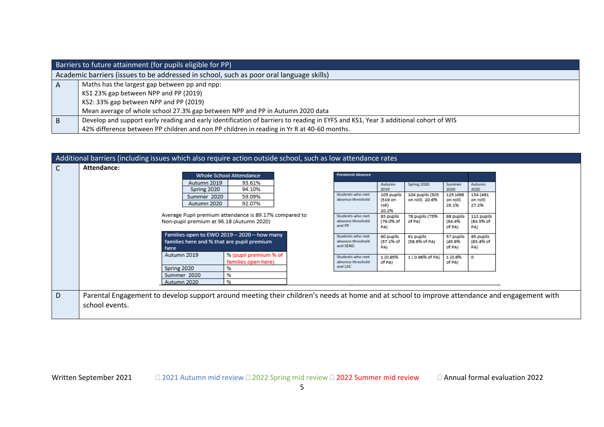|    | Barriers to future attainment (for pupils eligible for PP)                                                                         |  |  |  |  |  |  |  |  |
|----|------------------------------------------------------------------------------------------------------------------------------------|--|--|--|--|--|--|--|--|
|    | Academic barriers (issues to be addressed in school, such as poor oral language skills)                                            |  |  |  |  |  |  |  |  |
| A  | Maths has the largest gap between pp and npp:                                                                                      |  |  |  |  |  |  |  |  |
|    | KS1 23% gap between NPP and PP (2019)                                                                                              |  |  |  |  |  |  |  |  |
|    | KS2: 33% gap between NPP and PP (2019)                                                                                             |  |  |  |  |  |  |  |  |
|    | Mean average of whole school 27.3% gap between NPP and PP in Autumn 2020 data                                                      |  |  |  |  |  |  |  |  |
| B. | Develop and support early reading and early identification of barriers to reading in EYFS and KS1, Year 3 additional cohort of WIS |  |  |  |  |  |  |  |  |
|    | 42% difference between PP children and non PP children in reading in Yr R at 40-60 months.                                         |  |  |  |  |  |  |  |  |

|   | Additional barriers (including issues which also require action outside school, such as low attendance rates                                                   |                                                   |                                                  |                                                  |                                                 |                                                 |  |
|---|----------------------------------------------------------------------------------------------------------------------------------------------------------------|---------------------------------------------------|--------------------------------------------------|--------------------------------------------------|-------------------------------------------------|-------------------------------------------------|--|
| C | Attendance:<br><b>Whole School Attendance</b>                                                                                                                  | <b>Persistent Absence</b>                         |                                                  |                                                  |                                                 |                                                 |  |
|   | Autumn 2019<br>93.61%<br>Spring 2020<br>94.10%<br>Summer 2020<br>59.09%<br>Autumn 2020<br>92.07%                                                               | Students who met<br>absence threshold             | Autumn<br>2019<br>105 pupils<br>(519 on<br>roll) | Spring 2020<br>104 pupils (503<br>on roll) 20.6% | Summer<br>2020<br>125 (498<br>on roll)<br>25.1% | Autumn<br>2020<br>134 (491<br>on roll)<br>27.2% |  |
|   | Average Pupil premium attendance is 89.17% compared to<br>Non-pupil premium at 96.18 (Autumn 2020)                                                             | Students who met<br>absence threshold<br>and PP   | 20.2%<br>83 pupils<br>(79.0% of<br>PA)           | 78 pupils (75%<br>of PA)                         | 68 pupils<br>(54.4%<br>of PA)                   | 112 pupils<br>(83.5% of<br>PA)                  |  |
|   | Families open to EWO 2019 - 2020 - how many<br>families here and % that are pupil premium<br>here                                                              | Students who met<br>absence threshold<br>and SEND | 60 pupils<br>(57.1% of<br>PA)                    | 61 pupils<br>(58.6% of PA)                       | 57 pupils<br>(45.6%<br>of PA)                   | 85 pupils<br>(63.4% of<br>PA)                   |  |
|   | Autumn 2019<br>% (pupil premium % of<br>families open here)<br>Spring 2020<br>%                                                                                | Students who met<br>absence threshold<br>and LAC  | 1 (0.95%<br>of PA)                               | 1 (0.96% of PA)                                  | 1 (0.8%<br>of PA)                               | $\circ$                                         |  |
|   | %<br>Summer 2020<br>%<br>Autumn 2020                                                                                                                           |                                                   |                                                  |                                                  |                                                 |                                                 |  |
| D | Parental Engagement to develop support around meeting their children's needs at home and at school to improve attendance and engagement with<br>school events. |                                                   |                                                  |                                                  |                                                 |                                                 |  |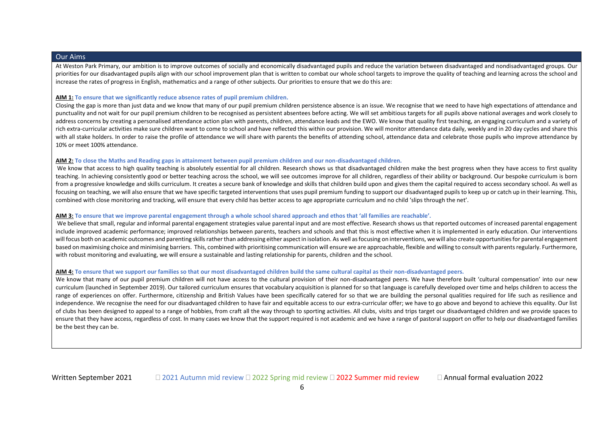#### Our Aims

At Weston Park Primary, our ambition is to improve outcomes of socially and economically disadvantaged pupils and reduce the variation between disadvantaged and nondisadvantaged groups. Our priorities for our disadvantaged pupils align with our school improvement plan that is written to combat our whole school targets to improve the quality of teaching and learning across the school and increase the rates of progress in English, mathematics and a range of other subjects. Our priorities to ensure that we do this are:

#### **AIM 1: To ensure that we significantly reduce absence rates of pupil premium children.**

Closing the gap is more than just data and we know that many of our pupil premium children persistence absence is an issue. We recognise that we need to have high expectations of attendance and punctuality and not wait for our pupil premium children to be recognised as persistent absentees before acting. We will set ambitious targets for all pupils above national averages and work closely to address concerns by creating a personalised attendance action plan with parents, children, attendance leads and the EWO. We know that quality first teaching, an engaging curriculum and a variety of rich extra-curricular activities make sure children want to come to school and have reflected this within our provision. We will monitor attendance data daily, weekly and in 20 day cycles and share this with all stake holders. In order to raise the profile of attendance we will share with parents the benefits of attending school, attendance data and celebrate those pupils who improve attendance by 10% or meet 100% attendance.

#### **AIM 2: To close the Maths and Reading gaps in attainment between pupil premium children and our non-disadvantaged children.**

We know that access to high quality teaching is absolutely essential for all children. Research shows us that disadvantaged children make the best progress when they have access to first quality teaching. In achieving consistently good or better teaching across the school, we will see outcomes improve for all children, regardless of their ability or background. Our bespoke curriculum is born from a progressive knowledge and skills curriculum. It creates a secure bank of knowledge and skills that children build upon and gives them the capital required to access secondary school. As well as focusing on teaching, we will also ensure that we have specific targeted interventions that uses pupil premium funding to support our disadvantaged pupils to keep up or catch up in their learning. This, combined with close monitoring and tracking, will ensure that every child has better access to age appropriate curriculum and no child 'slips through the net'.

#### **AIM 3: To ensure that we improve parental engagement through a whole school shared approach and ethos that 'all families are reachable'.**

We believe that small, regular and informal parental engagement strategies value parental input and are most effective. Research shows us that reported outcomes of increased parental engagement include improved academic performance; improved relationships between parents, teachers and schools and that this is most effective when it is implemented in early education. Our interventions will focus both on academic outcomes and parenting skills rather than addressing either aspect in isolation. As well as focusing on interventions, we will also create opportunities for parental engagement based on maximising choice and minimising barriers. This, combined with prioritising communication will ensure we are approachable, flexible and willing to consult with parents regularly. Furthermore, with robust monitoring and evaluating, we will ensure a sustainable and lasting relationship for parents, children and the school.

#### **AIM 4: To ensure that we support our families so that our most disadvantaged children build the same cultural capital as their non-disadvantaged peers.**

We know that many of our pupil premium children will not have access to the cultural provision of their non-disadvantaged peers. We have therefore built 'cultural compensation' into our new curriculum (launched in September 2019). Our tailored curriculum ensures that vocabulary acquisition is planned for so that language is carefully developed over time and helps children to access the range of experiences on offer. Furthermore, citizenship and British Values have been specifically catered for so that we are building the personal qualities required for life such as resilience and independence. We recognise the need for our disadvantaged children to have fair and equitable access to our extra-curricular offer; we have to go above and beyond to achieve this equality. Our list of clubs has been designed to appeal to a range of hobbies, from craft all the way through to sporting activities. All clubs, visits and trips target our disadvantaged children and we provide spaces to ensure that they have access, regardless of cost. In many cases we know that the support required is not academic and we have a range of pastoral support on offer to help our disadvantaged families be the best they can be.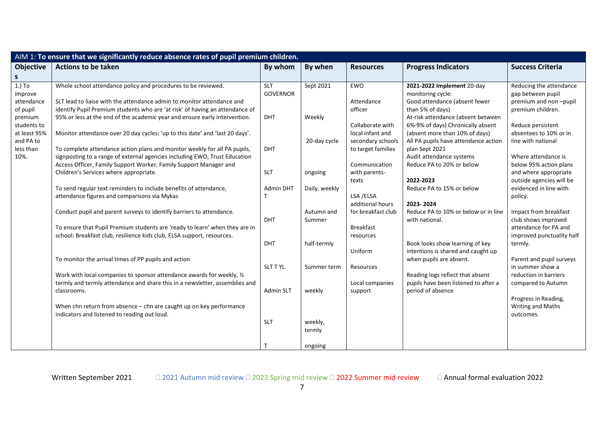|                  | AIM 1: To ensure that we significantly reduce absence rates of pupil premium children. |                  |               |                    |                                      |                           |
|------------------|----------------------------------------------------------------------------------------|------------------|---------------|--------------------|--------------------------------------|---------------------------|
| <b>Objective</b> | <b>Actions to be taken</b>                                                             | By whom          | By when       | <b>Resources</b>   | <b>Progress Indicators</b>           | <b>Success Criteria</b>   |
| S                |                                                                                        |                  |               |                    |                                      |                           |
| $1.)$ To         | Whole school attendance policy and procedures to be reviewed.                          | <b>SLT</b>       | Sept 2021     | <b>EWO</b>         | 2021-2022 Implement 20-day           | Reducing the attendance   |
| improve          |                                                                                        | <b>GOVERNOR</b>  |               |                    | monitoring cycle:                    | gap between pupil         |
| attendance       | SLT lead to liaise with the attendance admin to monitor attendance and                 |                  |               | Attendance         | Good attendance (absent fewer        | premium and non-pupil     |
| of pupil         | identify Pupil Premium students who are 'at risk' of having an attendance of           |                  |               | officer            | than 5% of days)                     | premium children.         |
| premium          | 95% or less at the end of the academic year and ensure early intervention.             | <b>DHT</b>       | Weekly        |                    | At-risk attendance (absent between   |                           |
| students to      |                                                                                        |                  |               | Collaborate with   | 6%-9% of days) Chronically absent    | Reduce persistent         |
| at least 95%     | Monitor attendance over 20 day cycles: 'up to this date' and 'last 20 days'.           |                  |               | local infant and   | (absent more than 10% of days)       | absentees to 10% or in    |
| and PA to        |                                                                                        |                  | 20-day cycle  | secondary schools  | All PA pupils have attendance action | line with national        |
| less than        | To complete attendance action plans and monitor weekly for all PA pupils,              | <b>DHT</b>       |               | to target families | plan Sept 2021                       |                           |
| 10%.             | signposting to a range of external agencies including EWO, Trust Education             |                  |               |                    | Audit attendance systems             | Where attendance is       |
|                  | Access Officer, Family Support Worker, Family Support Manager and                      |                  |               | Communication      | Reduce PA to 20% or below            | below 95% action plans    |
|                  | Children's Services where appropriate.                                                 | <b>SLT</b>       | ongoing       | with parents-      |                                      | and where appropriate     |
|                  |                                                                                        |                  |               | texts              | 2022-2023                            | outside agencies will be  |
|                  | To send regular text reminders to include benefits of attendance,                      | Admin DHT        | Daily, weekly |                    | Reduce PA to 15% or below            | evidenced in line with    |
|                  | attendance figures and comparisons via Mykas                                           | Т                |               | LSA /ELSA          |                                      | policy.                   |
|                  |                                                                                        |                  |               | additional hours   | 2023-2024                            |                           |
|                  | Conduct pupil and parent surveys to identify barriers to attendance.                   |                  | Autumn and    | for breakfast club | Reduce PA to 10% or below or in line | Impact from breakfast     |
|                  |                                                                                        | <b>DHT</b>       | Summer        |                    | with national.                       | club shows improved       |
|                  | To ensure that Pupil Premium students are 'ready to learn' when they are in            |                  |               | <b>Breakfast</b>   |                                      | attendance for PA and     |
|                  | school: Breakfast club, resilience kids club, ELSA support, resources.                 |                  |               | resources          |                                      | improved punctuality half |
|                  |                                                                                        | <b>DHT</b>       | half-termly   |                    | Book looks show learning of key      | termly.                   |
|                  |                                                                                        |                  |               | Uniform            | intentions is shared and caught up   |                           |
|                  | To monitor the arrival times of PP pupils and action                                   |                  |               |                    | when pupils are absent.              | Parent and pupil surveys  |
|                  |                                                                                        | <b>SLT T YL</b>  | Summer term   | Resources          |                                      | in summer show a          |
|                  | Work with local companies to sponsor attendance awards for weekly, 1/2                 |                  |               |                    | Reading logs reflect that absent     | reduction in barriers     |
|                  | termly and termly attendance and share this in a newsletter, assemblies and            |                  |               | Local companies    | pupils have been listened to after a | compared to Autumn        |
|                  | classrooms.                                                                            | <b>Admin SLT</b> | weekly        | support            | period of absence                    |                           |
|                  |                                                                                        |                  |               |                    |                                      | Progress in Reading,      |
|                  | When chn return from absence - chn are caught up on key performance                    |                  |               |                    |                                      | Writing and Maths         |
|                  | indicators and listened to reading out loud.                                           |                  |               |                    |                                      | outcomes.                 |
|                  |                                                                                        | SLT              | weekly,       |                    |                                      |                           |
|                  |                                                                                        |                  | termly        |                    |                                      |                           |
|                  |                                                                                        |                  |               |                    |                                      |                           |
|                  |                                                                                        |                  | ongoing       |                    |                                      |                           |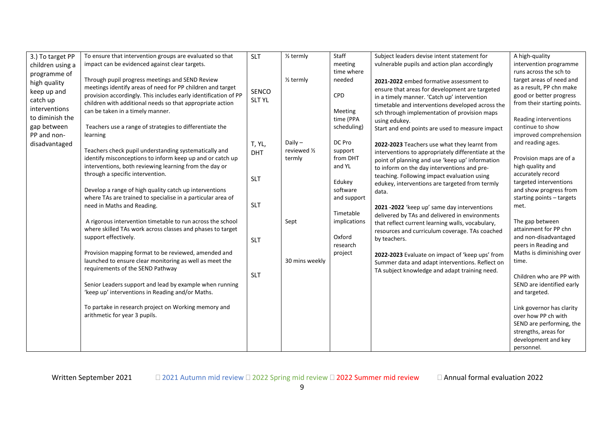| 3.) To target PP | To ensure that intervention groups are evaluated so that                                                           | <b>SLT</b>    | 1/ <sub>2</sub> termly | Staff               | Subject leaders devise intent statement for             | A high-quality                                   |
|------------------|--------------------------------------------------------------------------------------------------------------------|---------------|------------------------|---------------------|---------------------------------------------------------|--------------------------------------------------|
| children using a | impact can be evidenced against clear targets.                                                                     |               |                        | meeting             | vulnerable pupils and action plan accordingly           | intervention programme                           |
| programme of     |                                                                                                                    |               |                        | time where          |                                                         | runs across the sch to                           |
| high quality     | Through pupil progress meetings and SEND Review                                                                    |               | 1/ <sub>2</sub> termly | needed              | 2021-2022 embed formative assessment to                 | target areas of need and                         |
| keep up and      | meetings identify areas of need for PP children and target                                                         | SENCO         |                        |                     | ensure that areas for development are targeted          | as a result, PP chn make                         |
| catch up         | provision accordingly. This includes early identification of PP                                                    | <b>SLT YL</b> |                        | CPD                 | in a timely manner. 'Catch up' intervention             | good or better progress                          |
|                  | children with additional needs so that appropriate action                                                          |               |                        |                     | timetable and interventions developed across the        | from their starting points.                      |
| interventions    | can be taken in a timely manner.                                                                                   |               |                        | Meeting             | sch through implementation of provision maps            |                                                  |
| to diminish the  |                                                                                                                    |               |                        | time (PPA           | using edukey.                                           | Reading interventions                            |
| gap between      | Teachers use a range of strategies to differentiate the                                                            |               |                        | scheduling)         | Start and end points are used to measure impact         | continue to show                                 |
| PP and non-      | learning                                                                                                           |               |                        |                     |                                                         | improved comprehension                           |
| disadvantaged    |                                                                                                                    | T, YL,        | Daily $-$              | DC Pro              | 2022-2023 Teachers use what they learnt from            | and reading ages.                                |
|                  | Teachers check pupil understanding systematically and<br>identify misconceptions to inform keep up and or catch up | <b>DHT</b>    | reviewed 1/2<br>termly | support<br>from DHT | interventions to appropriately differentiate at the     | Provision maps are of a                          |
|                  | interventions, both reviewing learning from the day or                                                             |               |                        | and YL              | point of planning and use 'keep up' information         | high quality and                                 |
|                  | through a specific intervention.                                                                                   |               |                        |                     | to inform on the day interventions and pre-             | accurately record                                |
|                  |                                                                                                                    | <b>SLT</b>    |                        | Edukey              | teaching. Following impact evaluation using             | targeted interventions                           |
|                  | Develop a range of high quality catch up interventions                                                             |               |                        | software            | edukey, interventions are targeted from termly<br>data. | and show progress from                           |
|                  | where TAs are trained to specialise in a particular area of                                                        |               |                        | and support         |                                                         | starting points - targets                        |
|                  | need in Maths and Reading.                                                                                         | <b>SLT</b>    |                        |                     | 2021 -2022 'keep up' same day interventions             | met.                                             |
|                  |                                                                                                                    |               |                        | Timetable           | delivered by TAs and delivered in environments          |                                                  |
|                  | A rigorous intervention timetable to run across the school                                                         |               | Sept                   | implications        | that reflect current learning walls, vocabulary,        | The gap between                                  |
|                  | where skilled TAs work across classes and phases to target                                                         |               |                        |                     | resources and curriculum coverage. TAs coached          | attainment for PP chn                            |
|                  | support effectively.                                                                                               | <b>SLT</b>    |                        | Oxford              | by teachers.                                            | and non-disadvantaged                            |
|                  |                                                                                                                    |               |                        | research            |                                                         | peers in Reading and                             |
|                  | Provision mapping format to be reviewed, amended and                                                               |               |                        | project             | 2022-2023 Evaluate on impact of 'keep ups' from         | Maths is diminishing over                        |
|                  | launched to ensure clear monitoring as well as meet the                                                            |               | 30 mins weekly         |                     | Summer data and adapt interventions. Reflect on         | time.                                            |
|                  | requirements of the SEND Pathway                                                                                   |               |                        |                     | TA subject knowledge and adapt training need.           |                                                  |
|                  |                                                                                                                    | <b>SLT</b>    |                        |                     |                                                         | Children who are PP with                         |
|                  | Senior Leaders support and lead by example when running                                                            |               |                        |                     |                                                         | SEND are identified early                        |
|                  | 'keep up' interventions in Reading and/or Maths.                                                                   |               |                        |                     |                                                         | and targeted.                                    |
|                  | To partake in research project on Working memory and                                                               |               |                        |                     |                                                         |                                                  |
|                  | arithmetic for year 3 pupils.                                                                                      |               |                        |                     |                                                         | Link governor has clarity<br>over how PP ch with |
|                  |                                                                                                                    |               |                        |                     |                                                         | SEND are performing, the                         |
|                  |                                                                                                                    |               |                        |                     |                                                         | strengths, areas for                             |
|                  |                                                                                                                    |               |                        |                     |                                                         | development and key                              |
|                  |                                                                                                                    |               |                        |                     |                                                         | personnel.                                       |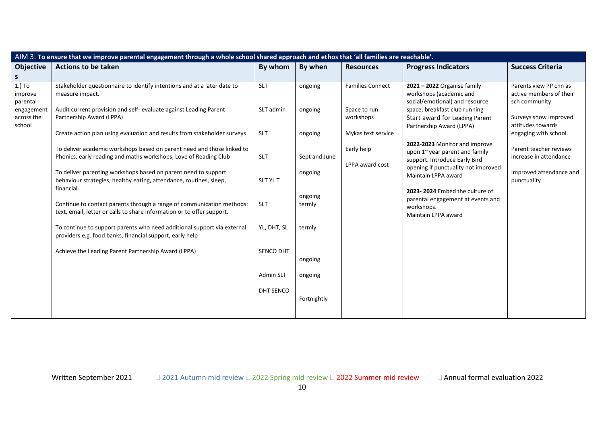| AIM 3: To ensure that we improve parental engagement through a whole school shared approach and ethos that 'all families are reachable'. |                                                                                                                                                    |             |                   |                               |                                                                                                                                                                                                                                                                                                                                                                                        |                                                                    |  |  |  |  |  |
|------------------------------------------------------------------------------------------------------------------------------------------|----------------------------------------------------------------------------------------------------------------------------------------------------|-------------|-------------------|-------------------------------|----------------------------------------------------------------------------------------------------------------------------------------------------------------------------------------------------------------------------------------------------------------------------------------------------------------------------------------------------------------------------------------|--------------------------------------------------------------------|--|--|--|--|--|
| <b>Objective</b>                                                                                                                         | <b>Actions to be taken</b>                                                                                                                         | By whom     | By when           | <b>Resources</b>              | <b>Progress Indicators</b>                                                                                                                                                                                                                                                                                                                                                             | <b>Success Criteria</b>                                            |  |  |  |  |  |
| S                                                                                                                                        |                                                                                                                                                    |             |                   |                               |                                                                                                                                                                                                                                                                                                                                                                                        |                                                                    |  |  |  |  |  |
| $1.)$ To<br>improve<br>parental<br>engagement<br>across the<br>school                                                                    | Stakeholder questionnaire to identify intentions and at a later date to<br>measure impact.                                                         | <b>SLT</b>  | ongoing           | <b>Families Connect</b>       | $2021 - 2022$ Organise family<br>workshops (academic and<br>social/emotional) and resource                                                                                                                                                                                                                                                                                             | Parents view PP chn as<br>active members of their<br>sch community |  |  |  |  |  |
|                                                                                                                                          | Audit current provision and self- evaluate against Leading Parent<br>Partnership Award (LPPA)                                                      | SLT admin   | ongoing           | Space to run<br>workshops     | space, breakfast club running<br>Start award for Leading Parent<br>Partnership Award (LPPA)<br>2022-2023 Monitor and improve<br>upon 1 <sup>st</sup> year parent and family<br>support. Introduce Early Bird<br>opening if punctuality not improved<br>Maintain LPPA award<br>2023-2024 Embed the culture of<br>parental engagement at events and<br>workshops.<br>Maintain LPPA award | Surveys show improved<br>attitudes towards                         |  |  |  |  |  |
|                                                                                                                                          | Create action plan using evaluation and results from stakeholder surveys                                                                           | <b>SLT</b>  | ongoing           | Mykas text service            |                                                                                                                                                                                                                                                                                                                                                                                        | engaging with school.                                              |  |  |  |  |  |
|                                                                                                                                          | To deliver academic workshops based on parent need and those linked to<br>Phonics, early reading and maths workshops, Love of Reading Club         | SLT         | Sept and June     | Early help<br>LPPA award cost |                                                                                                                                                                                                                                                                                                                                                                                        | Parent teacher reviews<br>increase in attendance                   |  |  |  |  |  |
|                                                                                                                                          | To deliver parenting workshops based on parent need to support<br>behaviour strategies, healthy eating, attendance, routines, sleep,<br>financial. | SLT YL T    | ongoing           |                               |                                                                                                                                                                                                                                                                                                                                                                                        | Improved attendance and<br>punctuality                             |  |  |  |  |  |
|                                                                                                                                          | Continue to contact parents through a range of communication methods:<br>text, email, letter or calls to share information or to offer support.    | <b>SLT</b>  | ongoing<br>termly |                               |                                                                                                                                                                                                                                                                                                                                                                                        |                                                                    |  |  |  |  |  |
|                                                                                                                                          | To continue to support parents who need additional support via external<br>providers e.g. food banks, financial support, early help                | YL, DHT, SL | termly            |                               |                                                                                                                                                                                                                                                                                                                                                                                        |                                                                    |  |  |  |  |  |
|                                                                                                                                          | Achieve the Leading Parent Partnership Award (LPPA)                                                                                                | SENCO DHT   | ongoing           |                               |                                                                                                                                                                                                                                                                                                                                                                                        |                                                                    |  |  |  |  |  |
|                                                                                                                                          |                                                                                                                                                    | Admin SLT   | ongoing           |                               |                                                                                                                                                                                                                                                                                                                                                                                        |                                                                    |  |  |  |  |  |
|                                                                                                                                          |                                                                                                                                                    | DHT SENCO   | Fortnightly       |                               |                                                                                                                                                                                                                                                                                                                                                                                        |                                                                    |  |  |  |  |  |